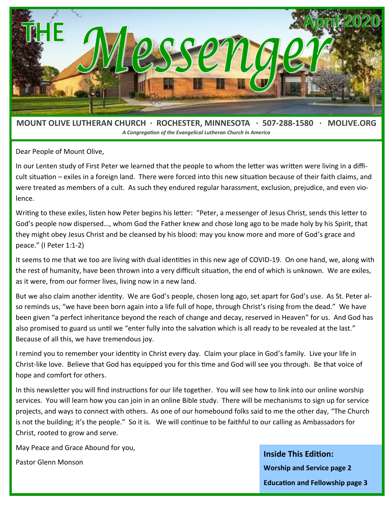

*A Congregation of the Evangelical Lutheran Church in America*

Dear People of Mount Olive,

In our Lenten study of First Peter we learned that the people to whom the letter was written were living in a difficult situation – exiles in a foreign land. There were forced into this new situation because of their faith claims, and were treated as members of a cult. As such they endured regular harassment, exclusion, prejudice, and even violence.

Writing to these exiles, listen how Peter begins his letter: "Peter, a messenger of Jesus Christ, sends this letter to God's people now dispersed…, whom God the Father knew and chose long ago to be made holy by his Spirit, that they might obey Jesus Christ and be cleansed by his blood: may you know more and more of God's grace and peace." (I Peter 1:1-2)

It seems to me that we too are living with dual identities in this new age of COVID-19. On one hand, we, along with the rest of humanity, have been thrown into a very difficult situation, the end of which is unknown. We are exiles, as it were, from our former lives, living now in a new land.

But we also claim another identity. We are God's people, chosen long ago, set apart for God's use. As St. Peter also reminds us, "we have been born again into a life full of hope, through Christ's rising from the dead." We have been given "a perfect inheritance beyond the reach of change and decay, reserved in Heaven" for us. And God has also promised to guard us until we "enter fully into the salvation which is all ready to be revealed at the last." Because of all this, we have tremendous joy.

I remind you to remember your identity in Christ every day. Claim your place in God's family. Live your life in Christ-like love. Believe that God has equipped you for this time and God will see you through. Be that voice of hope and comfort for others.

In this newsletter you will find instructions for our life together. You will see how to link into our online worship services. You will learn how you can join in an online Bible study. There will be mechanisms to sign up for service projects, and ways to connect with others. As one of our homebound folks said to me the other day, "The Church is not the building; it's the people." So it is. We will continue to be faithful to our calling as Ambassadors for Christ, rooted to grow and serve.

May Peace and Grace Abound for you,

Pastor Glenn Monson

**Inside This Edition: Worship and Service page 2 Education and Fellowship page 3**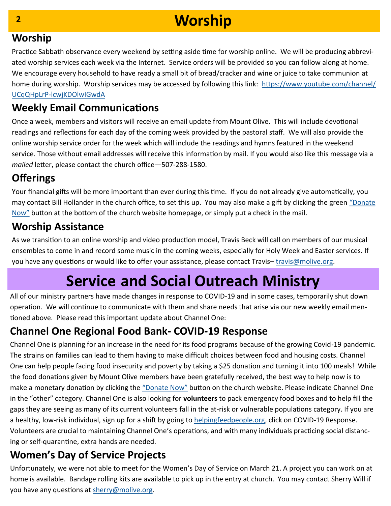# **Worship**

#### **Worship**

Practice Sabbath observance every weekend by setting aside time for worship online. We will be producing abbreviated worship services each week via the Internet. Service orders will be provided so you can follow along at home. We encourage every household to have ready a small bit of bread/cracker and wine or juice to take communion at home during worship. Worship services may be accessed by following this link: [https://www.youtube.com/channel/](https://www.youtube.com/channel/UCqQHpLrP-lcwjKDOlwIGwdA) UCqQHpLrP-[lcwjKDOlwIGwdA](https://www.youtube.com/channel/UCqQHpLrP-lcwjKDOlwIGwdA)

#### **Weekly Email Communications**

Once a week, members and visitors will receive an email update from Mount Olive. This will include devotional readings and reflections for each day of the coming week provided by the pastoral staff. We will also provide the online worship service order for the week which will include the readings and hymns featured in the weekend service. Those without email addresses will receive this information by mail. If you would also like this message via a *mailed* letter, please contact the church office—507-288-1580.

### **Offerings**

Your financial gifts will be more important than ever during this time. If you do not already give automatically, you may contact Bill Hollander in the church office, to set this up. You may also make a gift by clicking the green "[Donate](https://tinyurl.com/rthw634)  [Now](https://tinyurl.com/rthw634)" button at the bottom of the church website homepage, or simply put a check in the mail.

#### **Worship Assistance**

As we transition to an online worship and video production model, Travis Beck will call on members of our musical ensembles to come in and record some music in the coming weeks, especially for Holy Week and Easter services. If you have any questions or would like to offer your assistance, please contact Travis-travis@molive.org.

# **Service and Social Outreach Ministry**

All of our ministry partners have made changes in response to COVID-19 and in some cases, temporarily shut down operation. We will continue to communicate with them and share needs that arise via our new weekly email mentioned above. Please read this important update about Channel One:

#### **Channel One Regional Food Bank- COVID-19 Response**

Channel One is planning for an increase in the need for its food programs because of the growing Covid-19 pandemic. The strains on families can lead to them having to make difficult choices between food and housing costs. Channel One can help people facing food insecurity and poverty by taking a \$25 donation and turning it into 100 meals! While the food donations given by Mount Olive members have been gratefully received, the best way to help now is to make a monetary donation by clicking the "[Donate Now](https://tinyurl.com/rthw634)" button on the church website. Please indicate Channel One in the "other" category. Channel One is also looking for **volunteers** to pack emergency food boxes and to help fill the gaps they are seeing as many of its current volunteers fall in the at-risk or vulnerable populations category. If you are a healthy, low-risk individual, sign up for a shift by going to [helpingfeedpeople.org,](https://www.helpingfeedpeople.org/) click on COVID-19 Response. Volunteers are crucial to maintaining Channel One's operations, and with many individuals practicing social distancing or self-quarantine, extra hands are needed.

### **Women's Day of Service Projects**

Unfortunately, we were not able to meet for the Women's Day of Service on March 21. A project you can work on at home is available. Bandage rolling kits are available to pick up in the entry at church. You may contact Sherry Will if you have any questions at [sherry@molive.org.](mailto:sherry@molive.org)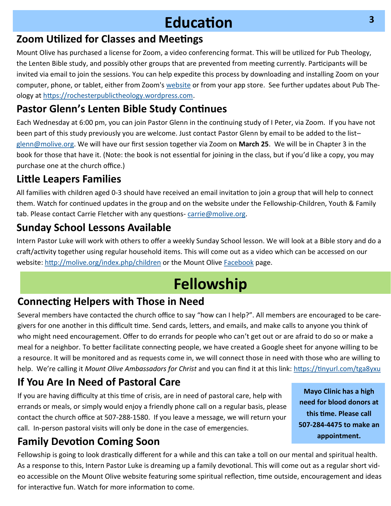## **Education**

#### **Zoom Utilized for Classes and Meetings**

Mount Olive has purchased a license for Zoom, a video conferencing format. This will be utilized for Pub Theology, the Lenten Bible study, and possibly other groups that are prevented from meeting currently. Participants will be invited via email to join the sessions. You can help expedite this process by downloading and installing Zoom on your computer, phone, or tablet, either from Zoom's [website](https://zoom.us/) or from your app store. See further updates about Pub Theology at [https://rochesterpublictheology.wordpress.com.](https://rochesterpublictheology.wordpress.com)

#### **Pastor Glenn's Lenten Bible Study Continues**

Each Wednesday at 6:00 pm, you can join Pastor Glenn in the continuing study of I Peter, via Zoom. If you have not been part of this study previously you are welcome. Just contact Pastor Glenn by email to be added to the list– [glenn@molive.org.](mailto:glenn@molive.org) We will have our first session together via Zoom on **March 25**. We will be in Chapter 3 in the book for those that have it. (Note: the book is not essential for joining in the class, but if you'd like a copy, you may purchase one at the church office.)

#### **Little Leapers Families**

All families with children aged 0-3 should have received an email invitation to join a group that will help to connect them. Watch for continued updates in the group and on the website under the Fellowship-Children, Youth & Family tab. Please contact Carrie Fletcher with any questions-[carrie@molive.org.](mailto:carrie@molive.org)

#### **Sunday School Lessons Available**

Intern Pastor Luke will work with others to offer a weekly Sunday School lesson. We will look at a Bible story and do a craft/activity together using regular household items. This will come out as a video which can be accessed on our website: <http://molive.org/index.php/children> or the Mount Olive [Facebook](https://www.facebook.com/MountOliveRochester/) page.

# **Fellowship**

#### **Connecting Helpers with Those in Need**

Several members have contacted the church office to say "how can I help?". All members are encouraged to be caregivers for one another in this difficult time. Send cards, letters, and emails, and make calls to anyone you think of who might need encouragement. Offer to do errands for people who can't get out or are afraid to do so or make a meal for a neighbor. To better facilitate connecting people, we have created a Google sheet for anyone willing to be a resource. It will be monitored and as requests come in, we will connect those in need with those who are willing to help. We're calling it *Mount Olive Ambassadors for Christ* and you can find it at this link: <https://tinyurl.com/tga8yxu>

### **If You Are In Need of Pastoral Care**

If you are having difficulty at this time of crisis, are in need of pastoral care, help with errands or meals, or simply would enjoy a friendly phone call on a regular basis, please contact the church office at 507-288-1580. If you leave a message, we will return your call. In-person pastoral visits will only be done in the case of emergencies.

**Mayo Clinic has a high need for blood donors at this time. Please call 507-284-4475 to make an appointment.**

## **Family Devotion Coming Soon**

Fellowship is going to look drastically different for a while and this can take a toll on our mental and spiritual health. As a response to this, Intern Pastor Luke is dreaming up a family devotional. This will come out as a regular short video accessible on the Mount Olive website featuring some spiritual reflection, time outside, encouragement and ideas for interactive fun. Watch for more information to come.